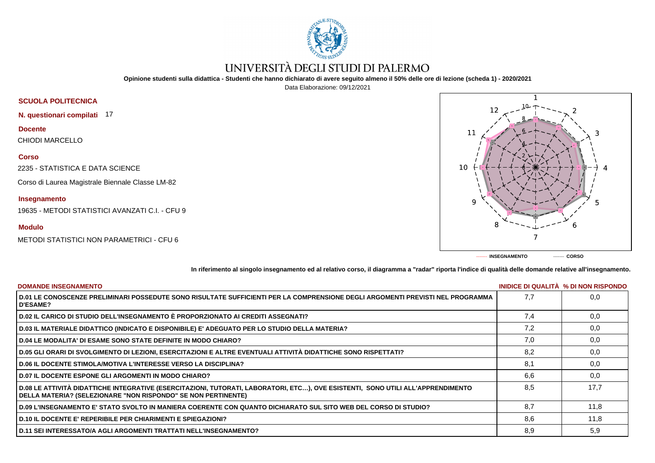

## UNIVERSITÀ DEGLI STUDI DI PALERMO

**Opinione studenti sulla didattica - Studenti che hanno dichiarato di avere seguito almeno il 50% delle ore di lezione (scheda 1) - 2020/2021**

Data Elaborazione: 09/12/2021



**------- INSEGNAMENTO ------- CORSO**

**In riferimento al singolo insegnamento ed al relativo corso, il diagramma a "radar" riporta l'indice di qualità delle domande relative all'insegnamento.**

| <b>DOMANDE INSEGNAMENTO</b>                                                                                                                                                                        |     | INIDICE DI QUALITA % DI NON RISPONDO |
|----------------------------------------------------------------------------------------------------------------------------------------------------------------------------------------------------|-----|--------------------------------------|
| D.01 LE CONOSCENZE PRELIMINARI POSSEDUTE SONO RISULTATE SUFFICIENTI PER LA COMPRENSIONE DEGLI ARGOMENTI PREVISTI NEL PROGRAMMA<br><b>D'ESAME?</b>                                                  | 7.7 | 0,0                                  |
| D.02 IL CARICO DI STUDIO DELL'INSEGNAMENTO È PROPORZIONATO AI CREDITI ASSEGNATI?                                                                                                                   | 7.4 | 0,0                                  |
| D.03 IL MATERIALE DIDATTICO (INDICATO E DISPONIBILE) E' ADEGUATO PER LO STUDIO DELLA MATERIA?                                                                                                      | 7,2 | 0,0                                  |
| D.04 LE MODALITA' DI ESAME SONO STATE DEFINITE IN MODO CHIARO?                                                                                                                                     | 7,0 | 0,0                                  |
| D.05 GLI ORARI DI SVOLGIMENTO DI LEZIONI, ESERCITAZIONI E ALTRE EVENTUALI ATTIVITÀ DIDATTICHE SONO RISPETTATI?                                                                                     | 8.2 | 0,0                                  |
| <b>D.06 IL DOCENTE STIMOLA/MOTIVA L'INTERESSE VERSO LA DISCIPLINA?</b>                                                                                                                             | 8.1 | 0,0                                  |
| <b>D.07 IL DOCENTE ESPONE GLI ARGOMENTI IN MODO CHIARO?</b>                                                                                                                                        | 6.6 | 0,0                                  |
| D.08 LE ATTIVITÀ DIDATTICHE INTEGRATIVE (ESERCITAZIONI, TUTORATI, LABORATORI, ETC…), OVE ESISTENTI,  SONO UTILI ALL'APPRENDIMENTO<br>DELLA MATERIA? (SELEZIONARE "NON RISPONDO" SE NON PERTINENTE) | 8.5 | 17.7                                 |
| D.09 L'INSEGNAMENTO E' STATO SVOLTO IN MANIERA COERENTE CON QUANTO DICHIARATO SUL SITO WEB DEL CORSO DI STUDIO?                                                                                    | 8.7 | 11,8                                 |
| <b>D.10 IL DOCENTE E' REPERIBILE PER CHIARIMENTI E SPIEGAZIONI?</b>                                                                                                                                | 8.6 | 11,8                                 |
| <b>D.11 SEI INTERESSATO/A AGLI ARGOMENTI TRATTATI NELL'INSEGNAMENTO?</b>                                                                                                                           | 8,9 | 5,9                                  |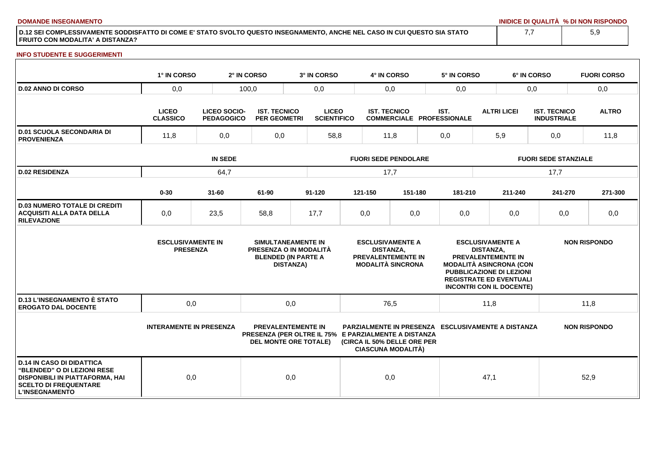**DOMANDE INSEGNAMENTO INIDICE DI QUALITÀ % DI NON RISPONDO**

**D.12 SEI COMPLESSIVAMENTE SODDISFATTO DI COME E' STATO SVOLTO QUESTO INSEGNAMENTO, ANCHE NEL CASO IN CUI QUESTO SIA STATO FRUITO CON MODALITA' A DISTANZA?**

## **INFO STUDENTE E SUGGERIMENTI**

|                                                                                                                                                             | 1° IN CORSO                                 |                                   | 2° IN CORSO                                          | 3° IN CORSO                                                                                    |                                                                                               | 4° IN CORSO                                              |         | 5° IN CORSO                                                                                                                                                                                                 |                                                    | 6° IN CORSO                               | <b>FUORI CORSO</b>  |  |  |
|-------------------------------------------------------------------------------------------------------------------------------------------------------------|---------------------------------------------|-----------------------------------|------------------------------------------------------|------------------------------------------------------------------------------------------------|-----------------------------------------------------------------------------------------------|----------------------------------------------------------|---------|-------------------------------------------------------------------------------------------------------------------------------------------------------------------------------------------------------------|----------------------------------------------------|-------------------------------------------|---------------------|--|--|
| <b>D.02 ANNO DI CORSO</b>                                                                                                                                   | 0,0                                         |                                   | 100,0                                                |                                                                                                | 0,0<br>0,0                                                                                    |                                                          |         | 0,0                                                                                                                                                                                                         |                                                    | 0,0                                       | 0,0                 |  |  |
|                                                                                                                                                             | <b>LICEO</b><br><b>CLASSICO</b>             | LICEO SOCIO-<br><b>PEDAGOGICO</b> | <b>IST. TECNICO</b><br><b>PER GEOMETRI</b>           |                                                                                                | <b>LICEO</b><br><b>SCIENTIFICO</b>                                                            | <b>IST. TECNICO</b>                                      |         | IST.<br><b>COMMERCIALE PROFESSIONALE</b>                                                                                                                                                                    | <b>ALTRI LICEI</b>                                 | <b>IST. TECNICO</b><br><b>INDUSTRIALE</b> | <b>ALTRO</b>        |  |  |
| <b>D.01 SCUOLA SECONDARIA DI</b><br><b>PROVENIENZA</b>                                                                                                      | 11,8                                        | 0,0                               | 0,0                                                  |                                                                                                | 58,8<br>11,8                                                                                  |                                                          |         | 0,0                                                                                                                                                                                                         | 5,9                                                |                                           | 11,8                |  |  |
|                                                                                                                                                             | <b>IN SEDE</b>                              |                                   |                                                      |                                                                                                | <b>FUORI SEDE PENDOLARE</b>                                                                   |                                                          |         |                                                                                                                                                                                                             |                                                    | <b>FUORI SEDE STANZIALE</b>               |                     |  |  |
| <b>D.02 RESIDENZA</b>                                                                                                                                       | 64,7                                        |                                   |                                                      |                                                                                                | 17,7                                                                                          |                                                          |         |                                                                                                                                                                                                             |                                                    | 17,7                                      |                     |  |  |
|                                                                                                                                                             | $0 - 30$                                    | $31 - 60$                         | 61-90                                                | 91-120                                                                                         |                                                                                               | 121-150                                                  | 151-180 | 181-210                                                                                                                                                                                                     | 211-240                                            | 241-270                                   | 271-300             |  |  |
| <b>D.03 NUMERO TOTALE DI CREDITI</b><br><b>ACQUISITI ALLA DATA DELLA</b><br><b>RILEVAZIONE</b>                                                              | 0,0                                         | 23,5                              | 58,8                                                 | 17,7                                                                                           |                                                                                               | 0,0                                                      | 0,0     | 0,0                                                                                                                                                                                                         | 0,0                                                | 0,0                                       | 0,0                 |  |  |
|                                                                                                                                                             | <b>ESCLUSIVAMENTE IN</b><br><b>PRESENZA</b> |                                   |                                                      | SIMULTANEAMENTE IN<br>PRESENZA O IN MODALITÀ<br><b>BLENDED (IN PARTE A</b><br><b>DISTANZA)</b> | <b>ESCLUSIVAMENTE A</b><br><b>DISTANZA.</b><br>PREVALENTEMENTE IN<br><b>MODALITÀ SINCRONA</b> |                                                          |         | <b>ESCLUSIVAMENTE A</b><br><b>DISTANZA.</b><br>PREVALENTEMENTE IN<br><b>MODALITÀ ASINCRONA (CON</b><br><b>PUBBLICAZIONE DI LEZIONI</b><br><b>REGISTRATE ED EVENTUALI</b><br><b>INCONTRI CON IL DOCENTE)</b> |                                                    | <b>NON RISPONDO</b>                       |                     |  |  |
| <b>D.13 L'INSEGNAMENTO È STATO</b><br><b>EROGATO DAL DOCENTE</b>                                                                                            | 0,0                                         |                                   |                                                      | 0,0                                                                                            |                                                                                               | 76,5                                                     |         |                                                                                                                                                                                                             | 11,8                                               |                                           | 11,8                |  |  |
|                                                                                                                                                             | <b>INTERAMENTE IN PRESENZA</b>              |                                   | PRESENZA (PER OLTRE IL 75% E PARZIALMENTE A DISTANZA | <b>PREVALENTEMENTE IN</b><br><b>DEL MONTE ORE TOTALE)</b>                                      |                                                                                               | (CIRCA IL 50% DELLE ORE PER<br><b>CIASCUNA MODALITÀ)</b> |         |                                                                                                                                                                                                             | PARZIALMENTE IN PRESENZA ESCLUSIVAMENTE A DISTANZA |                                           | <b>NON RISPONDO</b> |  |  |
| <b>D.14 IN CASO DI DIDATTICA</b><br>"BLENDED" O DI LEZIONI RESE<br>DISPONIBILI IN PIATTAFORMA, HAI<br><b>SCELTO DI FREQUENTARE</b><br><b>L'INSEGNAMENTO</b> | 0,0                                         |                                   |                                                      | 0,0                                                                                            |                                                                                               | 0,0                                                      |         |                                                                                                                                                                                                             | 47,1                                               |                                           | 52,9                |  |  |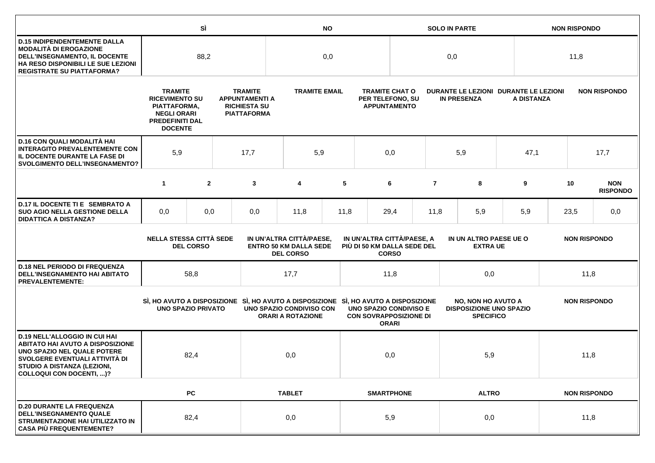|                                                                                                                                                                                                             |                                                                                                                                                                                                                  | SÌ             |      | <b>NO</b>                                                                            |                                                      |      |                                                                  | <b>SOLO IN PARTE</b> |                                                             |                                                                                 |      |            | <b>NON RISPONDO</b> |      |                               |  |  |  |  |  |  |  |  |                     |  |
|-------------------------------------------------------------------------------------------------------------------------------------------------------------------------------------------------------------|------------------------------------------------------------------------------------------------------------------------------------------------------------------------------------------------------------------|----------------|------|--------------------------------------------------------------------------------------|------------------------------------------------------|------|------------------------------------------------------------------|----------------------|-------------------------------------------------------------|---------------------------------------------------------------------------------|------|------------|---------------------|------|-------------------------------|--|--|--|--|--|--|--|--|---------------------|--|
| <b>D.15 INDIPENDENTEMENTE DALLA</b><br><b>MODALITÀ DI EROGAZIONE</b><br>DELL'INSEGNAMENTO, IL DOCENTE<br>HA RESO DISPONIBILI LE SUE LEZIONI<br><b>REGISTRATE SU PIATTAFORMA?</b>                            | 88,2                                                                                                                                                                                                             |                |      | 0,0                                                                                  |                                                      |      |                                                                  | 0,0                  |                                                             |                                                                                 |      | 11,8       |                     |      |                               |  |  |  |  |  |  |  |  |                     |  |
|                                                                                                                                                                                                             | <b>TRAMITE</b><br><b>RICEVIMENTO SU</b><br>PIATTAFORMA,<br><b>NEGLI ORARI</b><br><b>PREDEFINITI DAL</b><br><b>DOCENTE</b>                                                                                        |                |      | <b>TRAMITE</b><br><b>APPUNTAMENTI A</b><br><b>RICHIESTA SU</b><br><b>PIATTAFORMA</b> | <b>TRAMITE EMAIL</b>                                 |      | <b>TRAMITE CHAT O</b><br>PER TELEFONO, SU<br><b>APPUNTAMENTO</b> |                      | DURANTE LE LEZIONI DURANTE LE LEZIONI<br><b>IN PRESENZA</b> |                                                                                 |      | A DISTANZA |                     |      | <b>NON RISPONDO</b>           |  |  |  |  |  |  |  |  |                     |  |
| D.16 CON QUALI MODALITÀ HAI<br><b>INTERAGITO PREVALENTEMENTE CON</b><br>IL DOCENTE DURANTE LA FASE DI<br><b>SVOLGIMENTO DELL'INSEGNAMENTO?</b>                                                              | 5,9                                                                                                                                                                                                              | 17,7           |      |                                                                                      | 5,9                                                  |      | 0,0                                                              |                      |                                                             | 5,9                                                                             |      | 47,1       |                     | 17,7 |                               |  |  |  |  |  |  |  |  |                     |  |
|                                                                                                                                                                                                             | $\mathbf{1}$                                                                                                                                                                                                     | $\overline{2}$ |      | 3                                                                                    | 4                                                    | 5    |                                                                  | 6                    | $\overline{7}$                                              |                                                                                 | 8    | 9          |                     | 10   | <b>NON</b><br><b>RISPONDO</b> |  |  |  |  |  |  |  |  |                     |  |
| D.17 IL DOCENTE TI E SEMBRATO A<br><b>SUO AGIO NELLA GESTIONE DELLA</b><br><b>DIDATTICA A DISTANZA?</b>                                                                                                     | 0,0                                                                                                                                                                                                              | 0,0            |      | 0,0                                                                                  | 11,8                                                 | 11,8 |                                                                  | 29,4                 | 11,8                                                        |                                                                                 | 5,9  | 5,9        |                     | 23,5 | 0,0                           |  |  |  |  |  |  |  |  |                     |  |
|                                                                                                                                                                                                             | <b>NELLA STESSA CITTÀ SEDE</b><br>IN UN'ALTRA CITTÀ/PAESE,<br>IN UN'ALTRA CITTÀ/PAESE, A<br><b>ENTRO 50 KM DALLA SEDE</b><br>PIÙ DI 50 KM DALLA SEDE DEL<br><b>DEL CORSO</b><br><b>DEL CORSO</b><br><b>CORSO</b> |                |      |                                                                                      | IN UN ALTRO PAESE UE O<br><b>EXTRA UE</b>            |      |                                                                  |                      | <b>NON RISPONDO</b>                                         |                                                                                 |      |            |                     |      |                               |  |  |  |  |  |  |  |  |                     |  |
| <b>D.18 NEL PERIODO DI FREQUENZA</b><br><b>DELL'INSEGNAMENTO HAI ABITATO</b><br><b>PREVALENTEMENTE:</b>                                                                                                     | 58,8                                                                                                                                                                                                             |                | 17,7 |                                                                                      |                                                      | 11,8 |                                                                  |                      | 0,0                                                         |                                                                                 |      | 11,8       |                     |      |                               |  |  |  |  |  |  |  |  |                     |  |
|                                                                                                                                                                                                             | <b>UNO SPAZIO PRIVATO</b>                                                                                                                                                                                        |                |      | SI, HO AVUTO A DISPOSIZIONE SI, HO AVUTO A DISPOSIZIONE SI, HO AVUTO A DISPOSIZIONE  | UNO SPAZIO CONDIVISO CON<br><b>ORARI A ROTAZIONE</b> |      | <b>UNO SPAZIO CONDIVISO E</b><br><b>CON SOVRAPPOSIZIONE DI</b>   | <b>ORARI</b>         |                                                             | <b>NO, NON HO AVUTO A</b><br><b>DISPOSIZIONE UNO SPAZIO</b><br><b>SPECIFICO</b> |      |            |                     |      |                               |  |  |  |  |  |  |  |  | <b>NON RISPONDO</b> |  |
| <b>D.19 NELL'ALLOGGIO IN CUI HAI</b><br><b>ABITATO HAI AVUTO A DISPOSIZIONE</b><br>UNO SPAZIO NEL QUALE POTERE<br>SVOLGERE EVENTUALI ATTIVITÀ DI<br>STUDIO A DISTANZA (LEZIONI,<br>COLLOQUI CON DOCENTI, )? |                                                                                                                                                                                                                  | 82,4           |      |                                                                                      | 0,0                                                  |      |                                                                  | 0,0                  |                                                             |                                                                                 | 5,9  |            |                     | 11,8 |                               |  |  |  |  |  |  |  |  |                     |  |
|                                                                                                                                                                                                             |                                                                                                                                                                                                                  | <b>PC</b>      |      |                                                                                      | <b>TABLET</b>                                        |      | <b>SMARTPHONE</b>                                                |                      |                                                             | <b>ALTRO</b>                                                                    |      |            | <b>NON RISPONDO</b> |      |                               |  |  |  |  |  |  |  |  |                     |  |
| <b>D.20 DURANTE LA FREQUENZA</b><br><b>DELL'INSEGNAMENTO QUALE</b><br>STRUMENTAZIONE HAI UTILIZZATO IN<br><b>CASA PIÙ FREQUENTEMENTE?</b>                                                                   | 82,4                                                                                                                                                                                                             |                |      | 0,0                                                                                  |                                                      | 5,9  |                                                                  |                      | 0,0                                                         |                                                                                 | 11,8 |            |                     |      |                               |  |  |  |  |  |  |  |  |                     |  |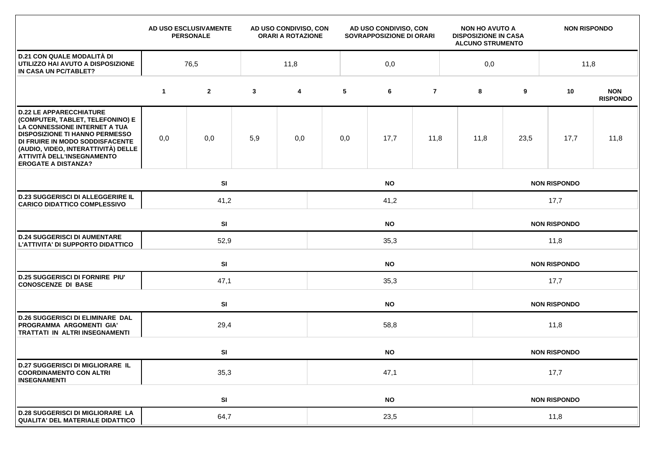|                                                                                                                                                                                                                                                                                    |             | AD USO ESCLUSIVAMENTE<br><b>PERSONALE</b> |              | AD USO CONDIVISO, CON<br><b>ORARI A ROTAZIONE</b> |           | AD USO CONDIVISO, CON<br>SOVRAPPOSIZIONE DI ORARI |                |     | <b>NON HO AVUTO A</b><br><b>DISPOSIZIONE IN CASA</b><br><b>ALCUNO STRUMENTO</b> |                     | <b>NON RISPONDO</b> |                               |  |  |
|------------------------------------------------------------------------------------------------------------------------------------------------------------------------------------------------------------------------------------------------------------------------------------|-------------|-------------------------------------------|--------------|---------------------------------------------------|-----------|---------------------------------------------------|----------------|-----|---------------------------------------------------------------------------------|---------------------|---------------------|-------------------------------|--|--|
| <b>D.21 CON QUALE MODALITÀ DI</b><br>UTILIZZO HAI AVUTO A DISPOSIZIONE<br>IN CASA UN PC/TABLET?                                                                                                                                                                                    | 76,5        |                                           |              | 11,8                                              |           | 0,0                                               |                | 0,0 |                                                                                 |                     | 11,8                |                               |  |  |
|                                                                                                                                                                                                                                                                                    | $\mathbf 1$ | $\mathbf{2}$                              | $\mathbf{3}$ | 4                                                 | 5         | 6                                                 | $\overline{7}$ |     | 8                                                                               | 9                   | 10                  | <b>NON</b><br><b>RISPONDO</b> |  |  |
| <b>D.22 LE APPARECCHIATURE</b><br>(COMPUTER, TABLET, TELEFONINO) E<br>LA CONNESSIONE INTERNET A TUA<br><b>DISPOSIZIONE TI HANNO PERMESSO</b><br>DI FRUIRE IN MODO SODDISFACENTE<br>(AUDIO, VIDEO, INTERATTIVITÀ) DELLE<br>ATTIVITÀ DELL'INSEGNAMENTO<br><b>EROGATE A DISTANZA?</b> | 0,0         | 0,0                                       | 5,9          | 0,0                                               | 0,0       | 17,7                                              | 11,8           |     | 11,8                                                                            | 23,5                | 17,7                | 11,8                          |  |  |
|                                                                                                                                                                                                                                                                                    |             | SI                                        |              |                                                   |           | <b>NO</b>                                         |                |     | <b>NON RISPONDO</b>                                                             |                     |                     |                               |  |  |
| <b>D.23 SUGGERISCI DI ALLEGGERIRE IL</b><br><b>CARICO DIDATTICO COMPLESSIVO</b>                                                                                                                                                                                                    |             | 41,2                                      |              |                                                   | 41,2      |                                                   |                |     |                                                                                 | 17,7                |                     |                               |  |  |
|                                                                                                                                                                                                                                                                                    |             | SI<br><b>NO</b>                           |              |                                                   |           |                                                   |                |     | <b>NON RISPONDO</b>                                                             |                     |                     |                               |  |  |
| <b>D.24 SUGGERISCI DI AUMENTARE</b><br>L'ATTIVITA' DI SUPPORTO DIDATTICO                                                                                                                                                                                                           |             | 52,9                                      |              |                                                   | 35,3      |                                                   |                |     |                                                                                 | 11,8                |                     |                               |  |  |
|                                                                                                                                                                                                                                                                                    |             | <b>SI</b><br><b>NO</b>                    |              |                                                   |           |                                                   |                |     |                                                                                 |                     | <b>NON RISPONDO</b> |                               |  |  |
| <b>D.25 SUGGERISCI DI FORNIRE PIU'</b><br><b>CONOSCENZE DI BASE</b>                                                                                                                                                                                                                |             | 47,1                                      |              |                                                   | 35,3      |                                                   |                |     |                                                                                 | 17,7                |                     |                               |  |  |
|                                                                                                                                                                                                                                                                                    |             | SI                                        |              |                                                   |           | <b>NO</b>                                         |                |     | <b>NON RISPONDO</b>                                                             |                     |                     |                               |  |  |
| <b>D.26 SUGGERISCI DI ELIMINARE DAL</b><br>PROGRAMMA ARGOMENTI GIA'<br>TRATTATI IN ALTRI INSEGNAMENTI                                                                                                                                                                              |             | 29,4                                      |              |                                                   | 58,8      |                                                   |                |     |                                                                                 | 11,8                |                     |                               |  |  |
|                                                                                                                                                                                                                                                                                    |             | SI                                        |              |                                                   |           | <b>NO</b>                                         |                |     |                                                                                 |                     | <b>NON RISPONDO</b> |                               |  |  |
| <b>D.27 SUGGERISCI DI MIGLIORARE IL</b><br><b>COORDINAMENTO CON ALTRI</b><br><b>INSEGNAMENTI</b>                                                                                                                                                                                   | 35,3        |                                           |              |                                                   | 47,1      |                                                   |                |     |                                                                                 | 17,7                |                     |                               |  |  |
|                                                                                                                                                                                                                                                                                    |             | SI                                        |              |                                                   | <b>NO</b> |                                                   |                |     |                                                                                 | <b>NON RISPONDO</b> |                     |                               |  |  |
| <b>D.28 SUGGERISCI DI MIGLIORARE LA</b><br><b>QUALITA' DEL MATERIALE DIDATTICO</b>                                                                                                                                                                                                 |             | 64,7                                      |              |                                                   | 23,5      |                                                   |                |     |                                                                                 | 11,8                |                     |                               |  |  |